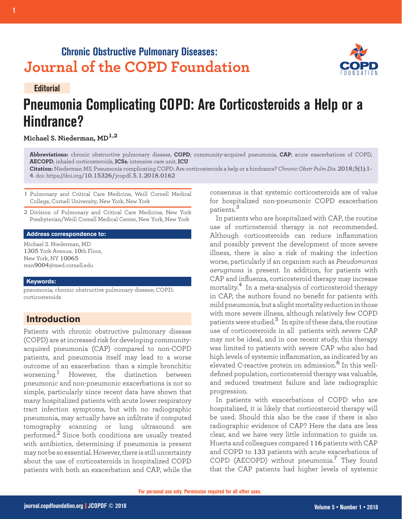## **Chronic Obstructive Pulmonary Diseases: Journal of the COPD Foundation**

#### **Editorial**

# **Pneumonia Complicating COPD: Are Corticosteroids a Help or a Hindrance?**

### **Michael S. Niederman, MD1,2**

**Abbreviations:** chronic obstructive pulmonary disease, **COPD**; community-acquired pneumonia, **CAP**; acute exacerbations of COPD, **AECOPD**; inhaled corticosteroids, **ICSs**; intensive care unit, **ICU**

**Citation:** Niederman MS. Pneumonia complicating COPD: Are corticosteroids a help or a hindrance? *Chronic Obstr Pulm Dis*. 2018;5(1):1- 4. doi: https://doi.org/10.15326/jcopdf.5.1.2018.0162

1 Pulmonary and Critical Care Medicine, Weill Cornell Medical College, Cornell University, New York, New York

2 Division of Pulmonary and Critical Care Medicine, New York Presbyterian/Weill Cornell Medical Center, New York, New York

#### **Address correspondence to:**

Michael S. Niederman, MD 1305 York Avenue, 10th Floor, New York, NY 10065 msn9004@med.cornell.edu

#### **Keywords:**

pneumonia; chronic obstructive pulmonary disease; COPD; corticosteroids

## **Introduction**

Patients with chronic obstructive pulmonary disease (COPD) are at increased risk for developing communityacquired pneumonia (CAP) compared to non-COPD patients, and pneumonia itself may lead to a worse outcome of an exacerbation than a simple bronchitic worsening.<sup>1</sup> However, the distinction between pneumonic and non-pneumonic exacerbations is not so simple, particularly since recent data have shown that many hospitalized patients with acute lower respiratory tract infection symptoms, but with no radiographic pneumonia, may actually have an infiltrate if computed tomography scanning or lung ultrasound are performed.2 Since both conditions are usually treated with antibiotics, determining if pneumonia is present may not be so essential. However, there is still uncertainty about the use of corticosteroids in hospitalized COPD patients with both an exacerbation and CAP, while the

consensus is that systemic corticosteroids are of value for hospitalized non-pneumonic COPD exacerbation patients.<sup>3</sup>

In patients who are hospitalized with CAP, the routine use of corticosteroid therapy is not recommended. Although corticosteroids can reduce inflammation and possibly prevent the development of more severe illness, there is also a risk of making the infection worse, particularly if an organism such as *Pseudomonas aeruginosa* is present. In addition, for patients with CAP and influenza, corticosteroid therapy may increase mortality.4 In a meta-analysis of corticosteroid therapy in CAP, the authors found no benefit for patients with mild pneumonia, but a slight mortality reduction in those with more severe illness, although relatively few COPD patients were studied.5 In spite of these data, the routine use of corticosteroids in all patients with severe CAP may not be ideal, and in one recent study, this therapy was limited to patients with severe CAP who also had high levels of systemic inflammation, as indicated by an elevated C-reactive protein on admission.<sup>6</sup> In this welldefined population, corticosteroid therapy was valuable, and reduced treatment failure and late radiographic progression.

In patients with exacerbations of COPD who are hospitalized, it is likely that corticosteroid therapy will be used. Should this also be the case if there is also radiographic evidence of CAP? Here the data are less clear, and we have very little information to guide us. Huerta and colleagues compared 116 patients with CAP and COPD to 133 patients with acute exacerbations of COPD (AECOPD) without pneumonia.7 They found that the CAP patients had higher levels of systemic

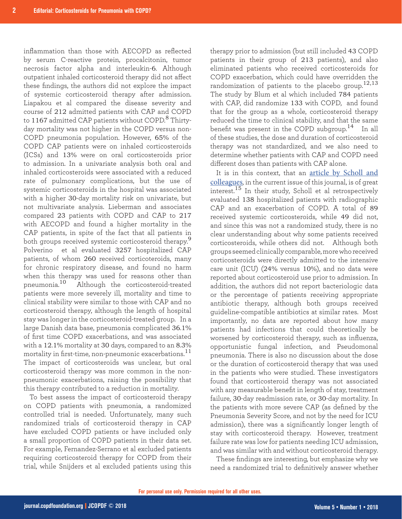inflammation than those with AECOPD as reflected by serum C-reactive protein, procalcitonin, tumor necrosis factor alpha and interleukin-6. Although outpatient inhaled corticosteroid therapy did not affect these findings, the authors did not explore the impact of systemic corticosteroid therapy after admission. Liapakou et al compared the disease severity and course of 212 admitted patients with CAP and COPD to 1167 admitted CAP patients without COPD.<sup>8</sup> Thirtyday mortality was not higher in the COPD versus non-COPD pneumonia population. However, 65% of the COPD CAP patients were on inhaled corticosteroids (ICSs) and 13% were on oral corticosteroids prior to admission. In a univariate analysis both oral and inhaled corticosteroids were associated with a reduced rate of pulmonary complications, but the use of systemic corticosteroids in the hospital was associated with a higher 30-day mortality risk on univariate, but not multivariate analysis. Lieberman and associates compared 23 patients with COPD and CAP to 217 with AECOPD and found a higher mortality in the CAP patients, in spite of the fact that all patients in both groups received systemic corticosteroid therapy.<sup>9</sup> Polverino et al evaluated 3257 hospitalized CAP patients, of whom 260 received corticoteroids, many for chronic respiratory disease, and found no harm when this therapy was used for reasons other than pneumonia.10 Although the corticosteroid-treated patients were more severely ill, mortality and time to clinical stability were similar to those with CAP and no corticosteroid therapy, although the length of hospital stay was longer in the corticosteroid-treated group. In a large Danish data base, pneumonia complicated 36.1% of first time COPD exacerbations, and was associated with a 12.1% mortality at 30 days, compared to an 8.3% mortality in first-time, non-pneumonic exacerbations.<sup>11</sup> The impact of corticosteroids was unclear, but oral corticosteroid therapy was more common in the nonpneumonic exacerbations, raising the possibility that this therapy contributed to a reduction in mortality.

To best assess the impact of corticosteroid therapy on COPD patients with pneumonia, a randomized controlled trial is needed. Unfortunately, many such randomized trials of corticosteroid therapy in CAP have excluded COPD patients or have included only a small proportion of COPD patients in their data set. For example, Fernandez-Serrano et al excluded patients requiring corticosteroid therapy for COPD from their trial, while Snijders et al excluded patients using this

therapy prior to admission (but still included 43 COPD patients in their group of 213 patients), and also eliminated patients who received corticosteroids for COPD exacerbation, which could have overridden the randomization of patients to the placebo group.<sup>12,13</sup> The study by Blum et al which included 784 patients with CAP, did randomize 133 with COPD, and found that for the group as a whole, corticosteroid therapy reduced the time to clinical stability, and that the same benefit was present in the COPD subgroup.<sup>14</sup> In all of these studies, the dose and duration of corticosteroid therapy was not standardized, and we also need to determine whether patients with CAP and COPD need different doses than patients with CAP alone.

It is in this context, that an [article by Scholl and](https://journal.copdfoundation.org/jcopdf/id/1178/Evaluation-of-Systemic-Corticosteroids-in-Patients-With-an-Acute-Exacerbation-of-COPD-and-a-Diagnosis-of-Pneumonia) [colleagues](https://journal.copdfoundation.org/jcopdf/id/1178/Evaluation-of-Systemic-Corticosteroids-in-Patients-With-an-Acute-Exacerbation-of-COPD-and-a-Diagnosis-of-Pneumonia), in the current issue of this journal, is of great interest.<sup>15</sup> In their study, Scholl et al retrospectively evaluated 138 hospitalized patients with radiographic CAP and an exacerbation of COPD. A total of 89 received systemic corticosteroids, while 49 did not, and since this was not a randomized study, there is no clear understanding about why some patients received corticosteroids, while others did not. Although both groups seemed clinically comparable, more who received corticosteroids were directly admitted to the intensive care unit (ICU) (24% versus 10%), and no data were reported about corticosteroid use prior to admission. In addition, the authors did not report bacteriologic data or the percentage of patients receiving appropriate antibiotic therapy, although both groups received guideline-compatible antibiotics at similar rates. Most importantly, no data are reported about how many patients had infections that could theoretically be worsened by corticosteroid therapy, such as influenza, opportunistic fungal infection, and Pseudomonal pneumonia. There is also no discussion about the dose or the duration of corticosteroid therapy that was used in the patients who were studied. These investigators found that corticosteroid therapy was not associated with any measurable benefit in length of stay, treatment failure, 30-day readmission rate, or 30-day mortality. In the patients with more severe CAP (as defined by the Pneumonia Severity Score, and not by the need for ICU admission), there was a significantly longer length of stay with corticosteroid therapy. However, treatment failure rate was low for patients needing ICU admission, and was similar with and without corticosteroid therapy.

These findings are interesting, but emphasize why we need a randomized trial to definitively answer whether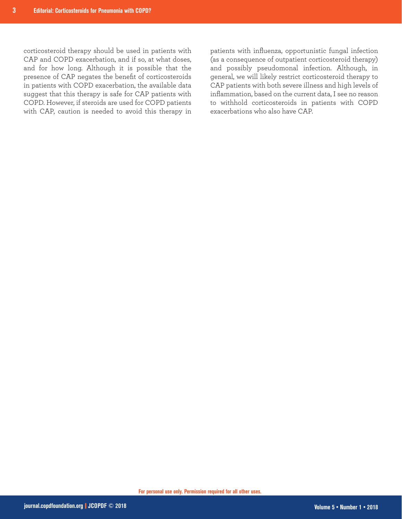corticosteroid therapy should be used in patients with CAP and COPD exacerbation, and if so, at what doses, and for how long. Although it is possible that the presence of CAP negates the benefit of corticosteroids in patients with COPD exacerbation, the available data suggest that this therapy is safe for CAP patients with COPD. However, if steroids are used for COPD patients with CAP, caution is needed to avoid this therapy in patients with influenza, opportunistic fungal infection (as a consequence of outpatient corticosteroid therapy) and possibly pseudomonal infection. Although, in general, we will likely restrict corticosteroid therapy to CAP patients with both severe illness and high levels of inflammation, based on the current data, I see no reason to withhold corticosteroids in patients with COPD exacerbations who also have CAP.